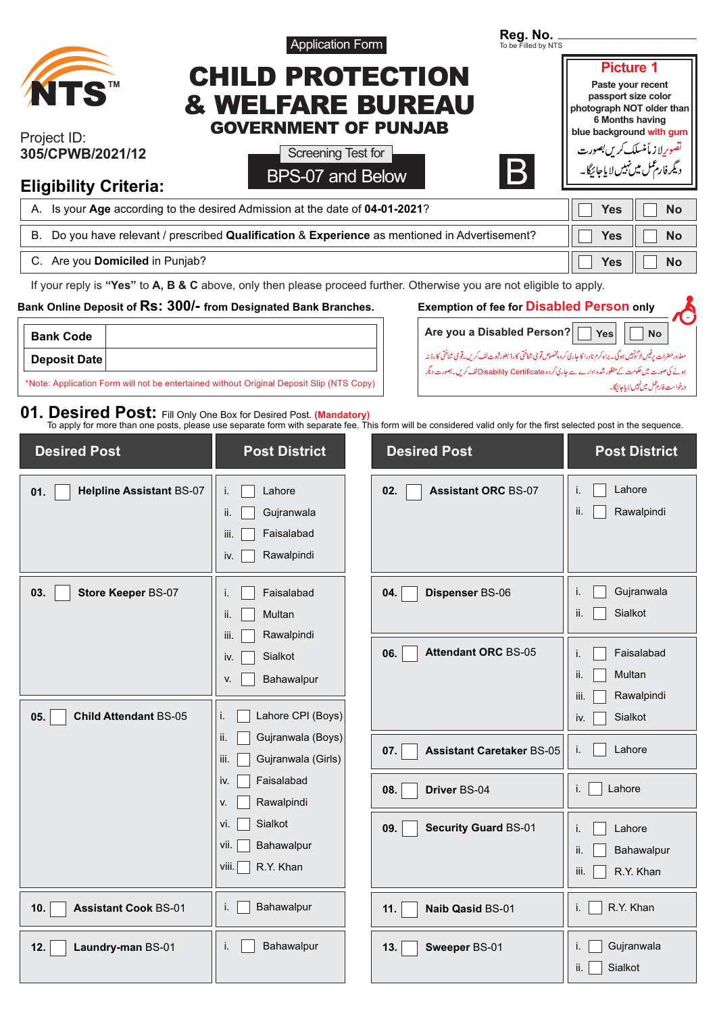|                                                                                                                                                                                                                                         | <b>Application Form</b>                                                      |                     | Reg. No.<br>To be Filled by NTS                                                |                                                                                                                                                                                                                                                                         |
|-----------------------------------------------------------------------------------------------------------------------------------------------------------------------------------------------------------------------------------------|------------------------------------------------------------------------------|---------------------|--------------------------------------------------------------------------------|-------------------------------------------------------------------------------------------------------------------------------------------------------------------------------------------------------------------------------------------------------------------------|
| <b>NTS</b>                                                                                                                                                                                                                              | <b>CHILD PROTECTION</b><br>& WELFARE BUREAU<br><b>GOVERNMENT OF PUNJAB</b>   |                     |                                                                                | <b>Picture 1</b><br>Paste your recent<br>passport size color<br>photograph NOT older than<br>6 Months having                                                                                                                                                            |
| Project ID:<br>305/CPWB/2021/12<br><b>Eligibility Criteria:</b>                                                                                                                                                                         | Screening Test for<br>BPS-07 and Below                                       |                     | B.                                                                             | blue background with gum<br>تصو <i>ری</i> لاز مأمنسلک <i>کریں بص</i> ورت<br>د یگر فارغمل میں نہیں لایاجائیگا۔                                                                                                                                                           |
| A. Is your Age according to the desired Admission at the date of 04-01-2021?                                                                                                                                                            |                                                                              |                     |                                                                                | <b>No</b><br><b>Yes</b>                                                                                                                                                                                                                                                 |
| Do you have relevant / prescribed Qualification & Experience as mentioned in Advertisement?<br>В.                                                                                                                                       |                                                                              |                     |                                                                                | <b>Yes</b><br><b>No</b>                                                                                                                                                                                                                                                 |
| C. Are you Domiciled in Punjab?                                                                                                                                                                                                         |                                                                              |                     |                                                                                | <b>Yes</b><br><b>No</b>                                                                                                                                                                                                                                                 |
| If your reply is "Yes" to A, B & C above, only then please proceed further. Otherwise you are not eligible to apply.<br>Bank Online Deposit of RS: 300/- from Designated Bank Branches.<br><b>Bank Code</b>                             |                                                                              |                     | <b>Exemption of fee for Disabled Person only</b><br>Are you a Disabled Person? | <b>Yes</b><br><b>No</b>                                                                                                                                                                                                                                                 |
| <b>Deposit Date</b><br>*Note: Application Form will not be entertained without Original Deposit Slip (NTS Copy)                                                                                                                         |                                                                              |                     |                                                                                | معذور حضرات پرفیس لاگونبیں ہوگی۔ براہ کرم نادرا کا جاری کردہ پخصوص تو می شناختی کارڈ بطور ثبوت لف کریں۔قومی شناختی کارڈ نہ<br>ہونے کی صورت میں حکومت کے منظور شدہ ادارے سے جاری کردہ Disability Certificateکالف کریں۔بصورت دیگر<br>درخواست فارتمل میں نہیں لا پاجائیگا۔ |
| 01. Desired Post: Fill Only One Box for Desired Post. (Mandatory)<br>To apply for more than one posts, please use separate form with separate fee. This form will be considered valid only for the first selected post in the sequence. |                                                                              |                     |                                                                                |                                                                                                                                                                                                                                                                         |
| <b>Desired Post</b>                                                                                                                                                                                                                     | <b>Post District</b>                                                         | <b>Desired Post</b> |                                                                                | <b>Post District</b>                                                                                                                                                                                                                                                    |
| <b>Helpline Assistant BS-07</b><br>01.                                                                                                                                                                                                  | Lahore<br>i.<br>Gujranwala<br>ii.<br>iii.<br>Faisalabad<br>Rawalpindi<br>iv. | 02.                 | <b>Assistant ORC BS-07</b>                                                     | Lahore<br>Τ.<br>Rawalpindi<br>ii.                                                                                                                                                                                                                                       |
| 03.<br><b>Store Keeper BS-07</b>                                                                                                                                                                                                        | Faisalabad<br>i.<br>Multan<br>ii.<br>Rawalpindi<br>iii.                      | 04.                 | Dispenser BS-06                                                                | Gujranwala<br>i.<br>Sialkot<br>ii.                                                                                                                                                                                                                                      |
| <b>Child Attendant BS-05</b><br>05.                                                                                                                                                                                                     | Sialkot<br>iv.<br>Bahawalpur<br>V.<br>Lahore CPI (Boys)<br>i.                | 06.                 | <b>Attendant ORC BS-05</b>                                                     | Faisalabad<br>i.<br>Multan<br>ii.<br>Rawalpindi<br>iii.<br>Sialkot<br>iv.                                                                                                                                                                                               |
|                                                                                                                                                                                                                                         | ii.<br>Gujranwala (Boys)<br>iii.<br>Gujranwala (Girls)                       | 07.                 | <b>Assistant Caretaker BS-05</b>                                               | Lahore<br>i.                                                                                                                                                                                                                                                            |
|                                                                                                                                                                                                                                         | Faisalabad<br>iv.<br>Rawalpindi<br>V.                                        | 08.                 | Driver BS-04                                                                   | Lahore<br>i.                                                                                                                                                                                                                                                            |
|                                                                                                                                                                                                                                         | vi.<br>Sialkot<br>Bahawalpur<br>vii.<br>viii.<br>R.Y. Khan                   | 09.                 | <b>Security Guard BS-01</b>                                                    | Lahore<br>i.<br>ii.<br>Bahawalpur<br>iii.<br>R.Y. Khan                                                                                                                                                                                                                  |
| 10.<br><b>Assistant Cook BS-01</b>                                                                                                                                                                                                      | Bahawalpur<br>i.                                                             | 11.                 | <b>Naib Qasid BS-01</b>                                                        | R.Y. Khan<br>i.                                                                                                                                                                                                                                                         |
| 12.<br>Laundry-man BS-01                                                                                                                                                                                                                | Bahawalpur<br>i.                                                             | 13.                 | Sweeper BS-01                                                                  | Gujranwala<br>i.<br>Sialkot<br>ii.                                                                                                                                                                                                                                      |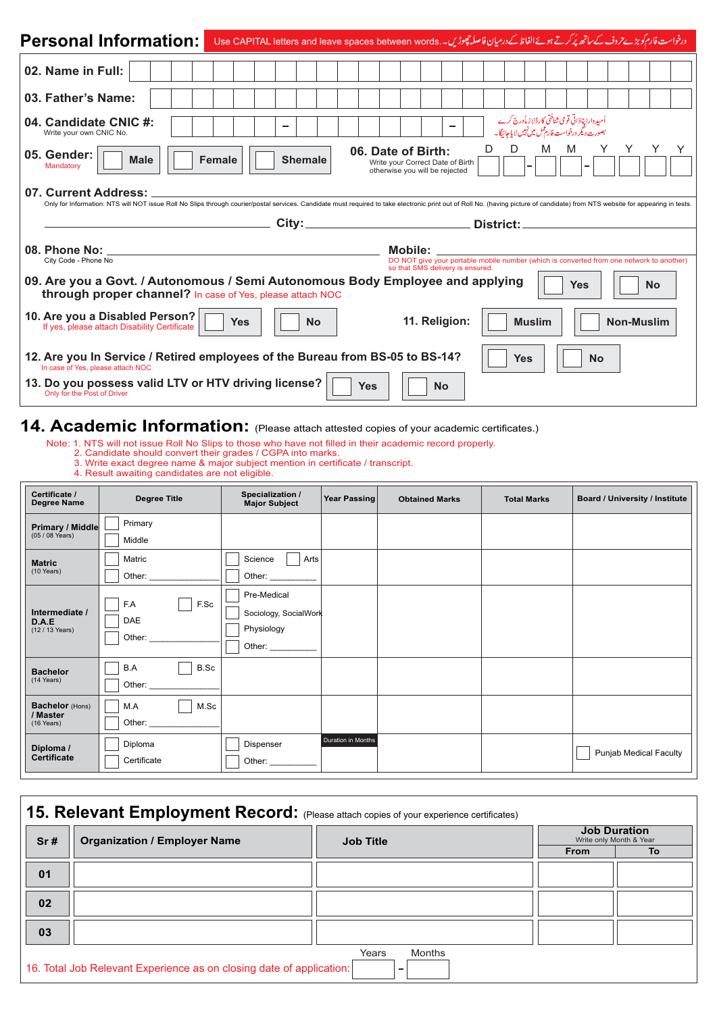| <b>Personal Information:</b>                                                                                                               | درخواست فارم کو بڑے حروف کے ساتھ پُر کرتے ہوئے الفاظ کے درمیان فاصلہ چھوڑیں۔ Use CAPITAL letters and leave spaces between words                                                                                                |                                                                                          |                                                                                                     |                   |
|--------------------------------------------------------------------------------------------------------------------------------------------|--------------------------------------------------------------------------------------------------------------------------------------------------------------------------------------------------------------------------------|------------------------------------------------------------------------------------------|-----------------------------------------------------------------------------------------------------|-------------------|
| 02. Name in Full:                                                                                                                          |                                                                                                                                                                                                                                |                                                                                          |                                                                                                     |                   |
| 03. Father's Name:                                                                                                                         |                                                                                                                                                                                                                                |                                                                                          |                                                                                                     |                   |
| 04. Candidate CNIC #:<br>Write your own CNIC No.                                                                                           |                                                                                                                                                                                                                                |                                                                                          | أميد وارا پناذاتي قومي شاختي كارڈلاز مأدرج كرے<br>بصورت دیگر درخواست فارم عمل میں نہیں لا پاجائیگا۔ |                   |
| 05. Gender:<br><b>Male</b><br>Mandatory                                                                                                    | Female<br><b>Shemale</b>                                                                                                                                                                                                       | 06. Date of Birth:<br>Write your Correct Date of Birth<br>otherwise you will be rejected | M<br>D<br>M                                                                                         |                   |
| 07. Current Address:                                                                                                                       | Only for Information: NTS will NOT issue Roll No Slips through courier/postal services. Candidate must required to take electronic print out of Roll No. (having picture of candidate) from NTS website for appearing in tests |                                                                                          |                                                                                                     |                   |
|                                                                                                                                            |                                                                                                                                                                                                                                |                                                                                          |                                                                                                     |                   |
|                                                                                                                                            |                                                                                                                                                                                                                                |                                                                                          | District:                                                                                           |                   |
| 08. Phone No:<br>City Code - Phone No                                                                                                      |                                                                                                                                                                                                                                | Mobile:                                                                                  | DO NOT give your portable mobile number (which is converted from one network to another)            |                   |
| 09. Are you a Govt. / Autonomous / Semi Autonomous Body Employee and applying<br>through proper channel? In case of Yes, please attach NOC |                                                                                                                                                                                                                                | so that SMS delivery is ensured.                                                         | Yes                                                                                                 | <b>No</b>         |
| 10. Are you a Disabled Person?<br>If yes, please attach Disability Certificate                                                             | Yes<br><b>No</b>                                                                                                                                                                                                               | 11. Religion:                                                                            | <b>Muslim</b>                                                                                       | <b>Non-Muslim</b> |
| 12. Are you In Service / Retired employees of the Bureau from BS-05 to BS-14?<br>In case of Yes, please attach NOC                         |                                                                                                                                                                                                                                |                                                                                          | <b>Yes</b><br><b>No</b>                                                                             |                   |

### **14. Academic Information:** (Please attach attested copies of your academic certificates.)

Note: 1. NTS will not issue Roll No Slips to those who have not filled in their academic record properly.

- 2. Candidate should convert their grades / CGPA into marks.
- 3. Write exact degree name & major subject mention in certificate / transcript.
- 4. Result awaiting candidates are not eligible.

| Certificate /<br><b>Degree Name</b>        | <b>Degree Title</b>          | Specialization /<br><b>Major Subject</b>                     | Year Passing       | <b>Obtained Marks</b> | <b>Total Marks</b> | <b>Board / University / Institute</b> |
|--------------------------------------------|------------------------------|--------------------------------------------------------------|--------------------|-----------------------|--------------------|---------------------------------------|
| <b>Primary / Middle</b><br>$(05/08$ Years) | Primary<br>Middle            |                                                              |                    |                       |                    |                                       |
| <b>Matric</b><br>(10 Years)                | Matric<br>Other:             | Science<br>Arts<br>Other:                                    |                    |                       |                    |                                       |
| Intermediate /<br>D.A.E<br>(12 / 13 Years) | F.Sc<br>F.A<br>DAE<br>Other: | Pre-Medical<br>Sociology, SocialWork<br>Physiology<br>Other: |                    |                       |                    |                                       |
| <b>Bachelor</b><br>(14 Years)              | B.A<br>B.Sc<br>Other:        |                                                              |                    |                       |                    |                                       |
| Bachelor (Hons)<br>/ Master<br>(16 Years)  | M.Sc<br>M.A<br>Other:        |                                                              |                    |                       |                    |                                       |
| Diploma /<br><b>Certificate</b>            | Diploma<br>Certificate       | Dispenser<br>Other:                                          | Duration in Months |                       |                    | Punjab Medical Faculty                |

| <b>Organization / Employer Name</b><br>Sr# |  | <b>Job Title</b> |             | <b>Job Duration</b><br>Write only Month & Year |  |
|--------------------------------------------|--|------------------|-------------|------------------------------------------------|--|
|                                            |  |                  | <b>From</b> | To                                             |  |
| 01                                         |  |                  |             |                                                |  |
| 02                                         |  |                  |             |                                                |  |
| 03                                         |  |                  |             |                                                |  |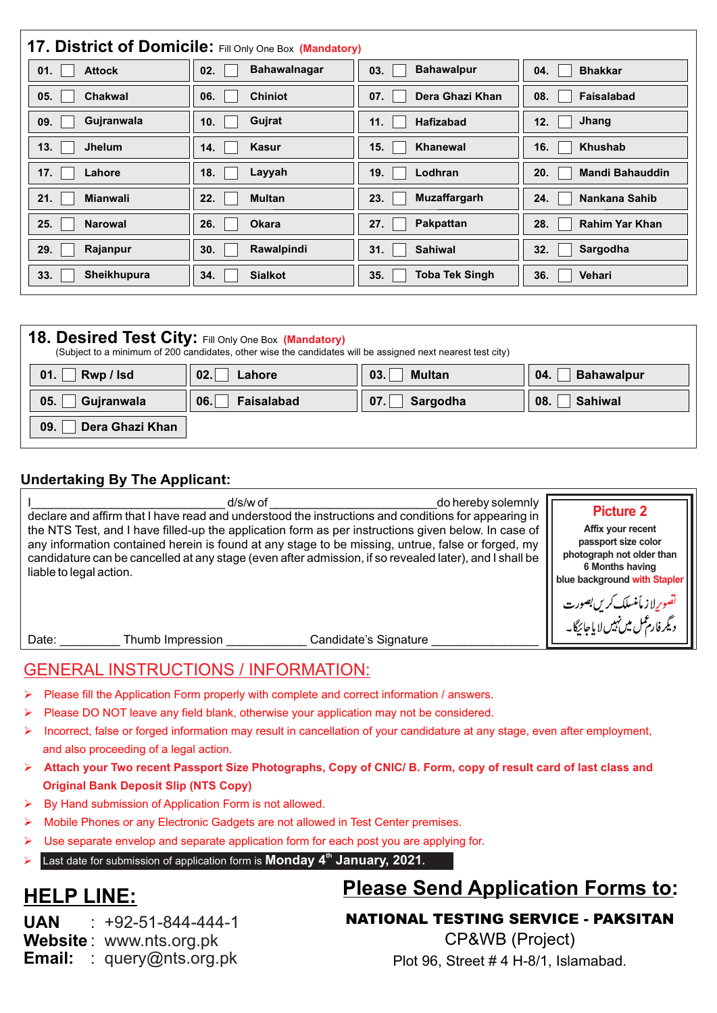| 17. District of Domicile: Fill Only One Box (Mandatory) |                     |                       |                        |  |
|---------------------------------------------------------|---------------------|-----------------------|------------------------|--|
| <b>Attock</b>                                           | <b>Bahawalnagar</b> | <b>Bahawalpur</b>     | <b>Bhakkar</b>         |  |
| 01.                                                     | 02.                 | 03.                   | 04.                    |  |
| 05.                                                     | 06.                 | 07.                   | 08.                    |  |
| <b>Chakwal</b>                                          | <b>Chiniot</b>      | Dera Ghazi Khan       | Faisalabad             |  |
| Gujranwala                                              | Gujrat              | 11.                   | Jhang                  |  |
| 09.                                                     | 10.                 | <b>Hafizabad</b>      | 12.                    |  |
| 13.                                                     | 14.                 | 15.                   | 16.                    |  |
| <b>Jhelum</b>                                           | Kasur               | <b>Khanewal</b>       | <b>Khushab</b>         |  |
| 17.                                                     | 18.                 | 19.                   | 20.                    |  |
| Lahore                                                  | Layyah              | Lodhran               | <b>Mandi Bahauddin</b> |  |
| 21.                                                     | 22.                 | <b>Muzaffargarh</b>   | 24.                    |  |
| <b>Mianwali</b>                                         | <b>Multan</b>       | 23.                   | Nankana Sahib          |  |
| 25.                                                     | 26.                 | Pakpattan             | 28.                    |  |
| <b>Narowal</b>                                          | <b>Okara</b>        | 27.                   | <b>Rahim Yar Khan</b>  |  |
| Rajanpur                                                | Rawalpindi          | 31.                   | Sargodha               |  |
| 29.                                                     | 30.                 | <b>Sahiwal</b>        | 32.                    |  |
| Sheikhupura                                             | 34.                 | <b>Toba Tek Singh</b> | 36.                    |  |
| 33.                                                     | <b>Sialkot</b>      | 35.                   | Vehari                 |  |

| 18. Desired Test City: Fill Only One Box (Mandatory)<br>(Subject to a minimum of 200 candidates, other wise the candidates will be assigned next nearest test city) |                                                                    |                  |                       |  |  |
|---------------------------------------------------------------------------------------------------------------------------------------------------------------------|--------------------------------------------------------------------|------------------|-----------------------|--|--|
| Rwp / Isd<br>01.                                                                                                                                                    | <b>Multan</b><br><b>Bahawalpur</b><br>02.1<br>03.<br>04.<br>Lahore |                  |                       |  |  |
| 05.<br>Gujranwala                                                                                                                                                   | 06.<br>Faisalabad                                                  | Sargodha<br> 07. | <b>Sahiwal</b><br>08. |  |  |
| Dera Ghazi Khan<br>09.                                                                                                                                              |                                                                    |                  |                       |  |  |

#### **Undertaking By The Applicant:**

| d/s/w of<br>do hereby solemnly<br>declare and affirm that I have read and understood the instructions and conditions for appearing in                                                                                                                                                                                                         | <b>Picture 2</b>                                                                                                         |
|-----------------------------------------------------------------------------------------------------------------------------------------------------------------------------------------------------------------------------------------------------------------------------------------------------------------------------------------------|--------------------------------------------------------------------------------------------------------------------------|
| the NTS Test, and I have filled-up the application form as per instructions given below. In case of<br>any information contained herein is found at any stage to be missing, untrue, false or forged, my<br>candidature can be cancelled at any stage (even after admission, if so revealed later), and I shall be<br>liable to legal action. | Affix your recent<br>passport size color<br>photograph not older than<br>6 Months having<br>blue background with Stapler |
| Candidate's Signature<br>Thumb Impression<br>Date:                                                                                                                                                                                                                                                                                            | قصوریانه مأمنسلک <i>کریں بص</i> ورت<br>دیگرفارم <sup>ع</sup> مل میں نہیں لایاجائیگا۔                                     |

### GENERAL INSTRUCTIONS / INFORMATION:

- Please fill the Application Form properly with complete and correct information / answers.
- Please DO NOT leave any field blank, otherwise your application may not be considered.
- Ø Incorrect, false or forged information may result in cancellation of your candidature at any stage, even after employment, and also proceeding of a legal action.
- Ø **Attach your Two recent Passport Size Photographs, Copy of CNIC/ B. Form, copy of result card of last class and Original Bank Deposit Slip (NTS Copy)**
- $\triangleright$  By Hand submission of Application Form is not allowed.
- Mobile Phones or any Electronic Gadgets are not allowed in Test Center premises.
- Use separate envelop and separate application form for each post you are applying for.
- Ø **Last date for submission of application form is Monday 4<sup>th</sup> January, 2021.**

## **HELP LINE:**

# **Please Send Application Forms to:**

**UAN Website** : www.nts.org.pk **Email:** : query@nts.org.pk  $: +92 - 51 - 844 - 444 - 1$  NATIONAL TESTING SERVICE - PAKSITAN

CP&WB (Project) Plot 96, Street # 4 H-8/1, Islamabad.